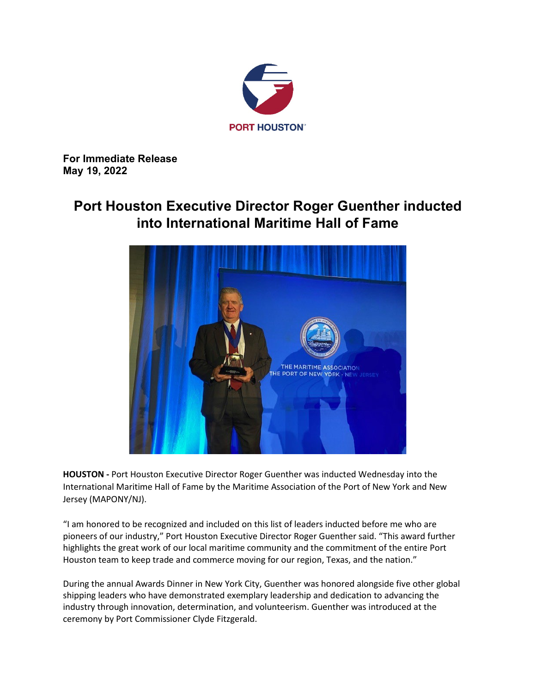

**For Immediate Release May 19, 2022**

## **Port Houston Executive Director Roger Guenther inducted into International Maritime Hall of Fame**



**HOUSTON -** Port Houston Executive Director Roger Guenther was inducted Wednesday into the International Maritime Hall of Fame by the Maritime Association of the Port of New York and New Jersey (MAPONY/NJ).

"I am honored to be recognized and included on this list of leaders inducted before me who are pioneers of our industry," Port Houston Executive Director Roger Guenther said. "This award further highlights the great work of our local maritime community and the commitment of the entire Port Houston team to keep trade and commerce moving for our region, Texas, and the nation."

During the annual Awards Dinner in New York City, Guenther was honored alongside five other global shipping leaders who have demonstrated exemplary leadership and dedication to advancing the industry through innovation, determination, and volunteerism. Guenther was introduced at the ceremony by Port Commissioner Clyde Fitzgerald.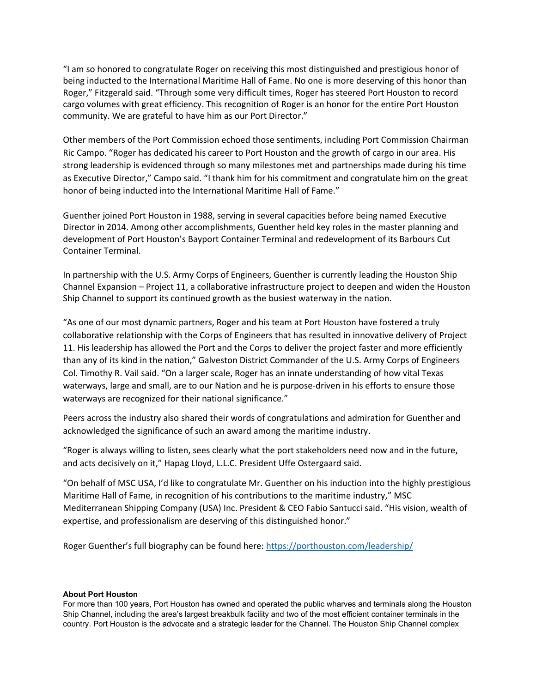"I am so honored to congratulate Roger on receiving this most distinguished and prestigious honor of being inducted to the International Maritime Hall of Fame. No one is more deserving of this honor than Roger," Fitzgerald said. "Through some very difficult times, Roger has steered Port Houston to record cargo volumes with great efficiency. This recognition of Roger is an honor for the entire Port Houston community. We are grateful to have him as our Port Director."

Other members of the Port Commission echoed those sentiments, including Port Commission Chairman Ric Campo. "Roger has dedicated his career to Port Houston and the growth of cargo in our area. His strong leadership is evidenced through so many milestones met and partnerships made during his time as Executive Director," Campo said. "I thank him for his commitment and congratulate him on the great honor of being inducted into the International Maritime Hall of Fame."

Guenther joined Port Houston in 1988, serving in several capacities before being named Executive Director in 2014. Among other accomplishments, Guenther held key roles in the master planning and development of Port Houston's Bayport Container Terminal and redevelopment of its Barbours Cut Container Terminal.

In partnership with the U.S. Army Corps of Engineers, Guenther is currently leading the Houston Ship Channel Expansion – Project 11, a collaborative infrastructure project to deepen and widen the Houston Ship Channel to support its continued growth as the busiest waterway in the nation.

"As one of our most dynamic partners, Roger and his team at Port Houston have fostered a truly collaborative relationship with the Corps of Engineers that has resulted in innovative delivery of Project 11. His leadership has allowed the Port and the Corps to deliver the project faster and more efficiently than any of its kind in the nation," Galveston District Commander of the U.S. Army Corps of Engineers Col. Timothy R. Vail said. "On a larger scale, Roger has an innate understanding of how vital Texas waterways, large and small, are to our Nation and he is purpose-driven in his efforts to ensure those waterways are recognized for their national significance."

Peers across the industry also shared their words of congratulations and admiration for Guenther and acknowledged the significance of such an award among the maritime industry.

"Roger is always willing to listen, sees clearly what the port stakeholders need now and in the future, and acts decisively on it," Hapag Lloyd, L.L.C. President Uffe Ostergaard said.

"On behalf of MSC USA, I'd like to congratulate Mr. Guenther on his induction into the highly prestigious Maritime Hall of Fame, in recognition of his contributions to the maritime industry," MSC Mediterranean Shipping Company (USA) Inc. President & CEO Fabio Santucci said. "His vision, wealth of expertise, and professionalism are deserving of this distinguished honor."

Roger Guenther's full biography can be found here:<https://porthouston.com/leadership/>

## **About Port Houston**

For more than 100 years, Port Houston has owned and operated the public wharves and terminals along the Houston Ship Channel, including the area's largest breakbulk facility and two of the most efficient container terminals in the country. Port Houston is the advocate and a strategic leader for the Channel. The Houston Ship Channel complex